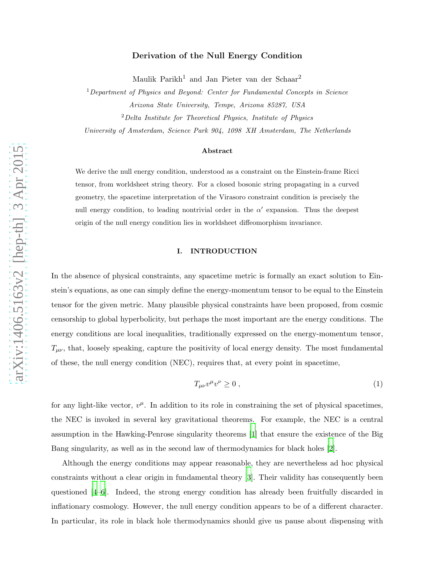# Derivation of the Null Energy Condition

Maulik Parikh <sup>1</sup> and Jan Pieter van der Schaar 2

<sup>1</sup>Department of Physics and Beyond: Center for Fundamental Concepts in Science Arizona State University, Tempe, Arizona 85287, USA

<sup>2</sup>Delta Institute for Theoretical Physics, Institute of Physics

University of Amsterdam, Science Park 904, 1098 XH Amsterdam, The Netherlands

### Abstract

We derive the null energy condition, understood as a constraint on the Einstein-frame Ricci tensor, from worldsheet string theory. For a closed bosonic string propagating in a curved geometry, the spacetime interpretation of the Virasoro constraint condition is precisely the null energy condition, to leading nontrivial order in the  $\alpha'$  expansion. Thus the deepest origin of the null energy condition lies in worldsheet diffeomorphism invariance.

## I. INTRODUCTION

In the absence of physical constraints, any spacetime metric is formally an exact solution to Einstein's equations, as one can simply define the energy-momentum tensor to be equal to the Einstein tensor for the given metric. Many plausible physical constraints have been proposed, from cosmic censorship to global hyperbolicity, but perhaps the most important are the energy conditions. The energy conditions are local inequalities, traditionally expressed on the energy-momentum tensor,  $T_{\mu\nu}$ , that, loosely speaking, capture the positivity of local energy density. The most fundamental of these, the null energy condition (NEC), requires that, at every point in spacetime,

<span id="page-0-0"></span>
$$
T_{\mu\nu}v^{\mu}v^{\nu} \ge 0 \tag{1}
$$

for any light-like vector,  $v^{\mu}$ . In addition to its role in constraining the set of physical spacetimes, the NEC is invoked in several key gravitational theorems. For example, the NEC is a central assumption in the Hawking-Penrose singularity theorems [\[1](#page-8-0)] that ensure the existence of the Big Bang singularity, as well as in the second law of thermodynamics for black holes [\[2\]](#page-8-1).

Although the energy conditions may appear reasonable, they are nevertheless ad hoc physical constraints without a clear origin in fundamental theory [\[3](#page-8-2)]. Their validity has consequently been questioned [\[4](#page-8-3)[–6](#page-8-4)]. Indeed, the strong energy condition has already been fruitfully discarded in inflationary cosmology. However, the null energy condition appears to be of a different character. In particular, its role in black hole thermodynamics should give us pause about dispensing with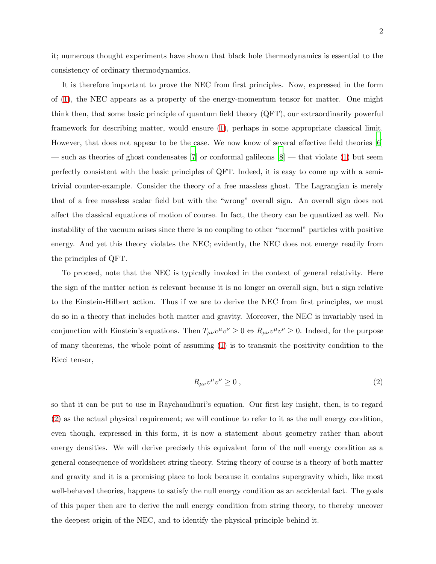it; numerous thought experiments have shown that black hole thermodynamics is essential to the consistency of ordinary thermodynamics.

It is therefore important to prove the NEC from first principles. Now, expressed in the form of [\(1\)](#page-0-0), the NEC appears as a property of the energy-momentum tensor for matter. One might think then, that some basic principle of quantum field theory (QFT), our extraordinarily powerful framework for describing matter, would ensure [\(1\)](#page-0-0), perhaps in some appropriate classical limit. However, that does not appear to be the case. We now know of several effective field theories [\[6](#page-8-4)] — such as theories of ghost condensates [\[7\]](#page-8-5) or conformal galileons  $[8]$  — that violate [\(1\)](#page-0-0) but seem perfectly consistent with the basic principles of QFT. Indeed, it is easy to come up with a semitrivial counter-example. Consider the theory of a free massless ghost. The Lagrangian is merely that of a free massless scalar field but with the "wrong" overall sign. An overall sign does not affect the classical equations of motion of course. In fact, the theory can be quantized as well. No instability of the vacuum arises since there is no coupling to other "normal" particles with positive energy. And yet this theory violates the NEC; evidently, the NEC does not emerge readily from the principles of QFT.

To proceed, note that the NEC is typically invoked in the context of general relativity. Here the sign of the matter action is relevant because it is no longer an overall sign, but a sign relative to the Einstein-Hilbert action. Thus if we are to derive the NEC from first principles, we must do so in a theory that includes both matter and gravity. Moreover, the NEC is invariably used in conjunction with Einstein's equations. Then  $T_{\mu\nu}v^{\mu}v^{\nu} \ge 0 \Leftrightarrow R_{\mu\nu}v^{\mu}v^{\nu} \ge 0$ . Indeed, for the purpose of many theorems, the whole point of assuming  $(1)$  is to transmit the positivity condition to the Ricci tensor,

<span id="page-1-0"></span>
$$
R_{\mu\nu}v^{\mu}v^{\nu} \ge 0 , \qquad (2)
$$

so that it can be put to use in Raychaudhuri's equation. Our first key insight, then, is to regard [\(2\)](#page-1-0) as the actual physical requirement; we will continue to refer to it as the null energy condition, even though, expressed in this form, it is now a statement about geometry rather than about energy densities. We will derive precisely this equivalent form of the null energy condition as a general consequence of worldsheet string theory. String theory of course is a theory of both matter and gravity and it is a promising place to look because it contains supergravity which, like most well-behaved theories, happens to satisfy the null energy condition as an accidental fact. The goals of this paper then are to derive the null energy condition from string theory, to thereby uncover the deepest origin of the NEC, and to identify the physical principle behind it.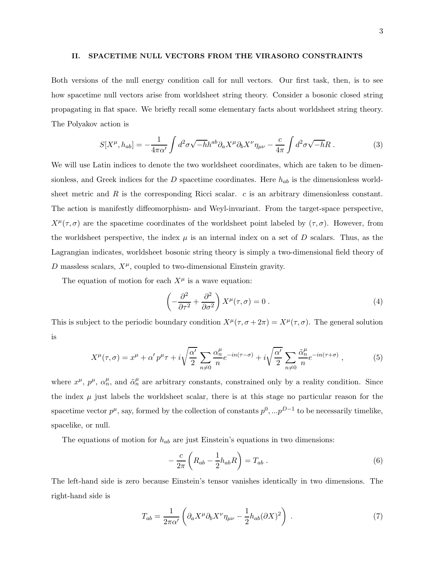#### II. SPACETIME NULL VECTORS FROM THE VIRASORO CONSTRAINTS

Both versions of the null energy condition call for null vectors. Our first task, then, is to see how spacetime null vectors arise from worldsheet string theory. Consider a bosonic closed string propagating in flat space. We briefly recall some elementary facts about worldsheet string theory. The Polyakov action is

$$
S[X^{\mu}, h_{ab}] = -\frac{1}{4\pi\alpha'} \int d^2\sigma \sqrt{-h}h^{ab}\partial_a X^{\mu}\partial_b X^{\nu}\eta_{\mu\nu} - \frac{c}{4\pi} \int d^2\sigma \sqrt{-h}R \ . \tag{3}
$$

We will use Latin indices to denote the two worldsheet coordinates, which are taken to be dimensionless, and Greek indices for the D spacetime coordinates. Here  $h_{ab}$  is the dimensionless worldsheet metric and  $R$  is the corresponding Ricci scalar.  $c$  is an arbitrary dimensionless constant. The action is manifestly diffeomorphism- and Weyl-invariant. From the target-space perspective,  $X^{\mu}(\tau,\sigma)$  are the spacetime coordinates of the worldsheet point labeled by  $(\tau,\sigma)$ . However, from the worldsheet perspective, the index  $\mu$  is an internal index on a set of D scalars. Thus, as the Lagrangian indicates, worldsheet bosonic string theory is simply a two-dimensional field theory of  $D$  massless scalars,  $X^{\mu}$ , coupled to two-dimensional Einstein gravity.

The equation of motion for each  $X^{\mu}$  is a wave equation:

$$
\left(-\frac{\partial^2}{\partial \tau^2} + \frac{\partial^2}{\partial \sigma^2}\right) X^\mu(\tau, \sigma) = 0.
$$
\n(4)

This is subject to the periodic boundary condition  $X^{\mu}(\tau, \sigma + 2\pi) = X^{\mu}(\tau, \sigma)$ . The general solution is

$$
X^{\mu}(\tau,\sigma) = x^{\mu} + \alpha' p^{\mu} \tau + i \sqrt{\frac{\alpha'}{2}} \sum_{n \neq 0} \frac{\alpha_n^{\mu}}{n} e^{-in(\tau-\sigma)} + i \sqrt{\frac{\alpha'}{2}} \sum_{n \neq 0} \frac{\tilde{\alpha}_n^{\mu}}{n} e^{-in(\tau+\sigma)}, \qquad (5)
$$

where  $x^{\mu}$ ,  $p^{\mu}$ ,  $\alpha_n^{\mu}$ , and  $\tilde{\alpha}_n^{\mu}$  are arbitrary constants, constrained only by a reality condition. Since the index  $\mu$  just labels the worldsheet scalar, there is at this stage no particular reason for the spacetime vector  $p^{\mu}$ , say, formed by the collection of constants  $p^0, ...p^{D-1}$  to be necessarily timelike, spacelike, or null.

The equations of motion for  $h_{ab}$  are just Einstein's equations in two dimensions:

$$
-\frac{c}{2\pi}\left(R_{ab}-\frac{1}{2}h_{ab}R\right)=T_{ab}.
$$
\n(6)

The left-hand side is zero because Einstein's tensor vanishes identically in two dimensions. The right-hand side is

<span id="page-2-0"></span>
$$
T_{ab} = \frac{1}{2\pi\alpha'} \left( \partial_a X^\mu \partial_b X^\nu \eta_{\mu\nu} - \frac{1}{2} h_{ab} (\partial X)^2 \right) \,. \tag{7}
$$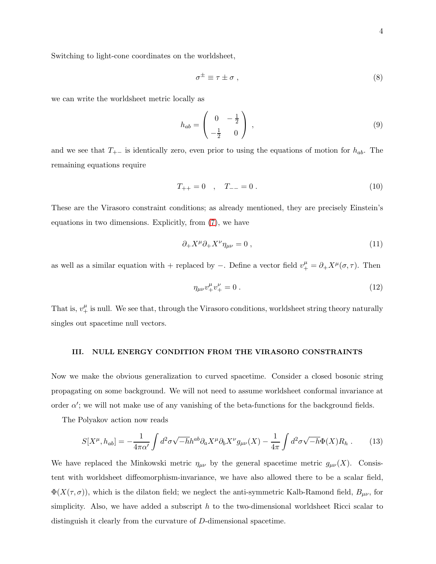Switching to light-cone coordinates on the worldsheet,

$$
\sigma^{\pm} \equiv \tau \pm \sigma \;, \tag{8}
$$

we can write the worldsheet metric locally as

$$
h_{ab} = \begin{pmatrix} 0 & -\frac{1}{2} \\ -\frac{1}{2} & 0 \end{pmatrix} \,, \tag{9}
$$

and we see that  $T_{+-}$  is identically zero, even prior to using the equations of motion for  $h_{ab}$ . The remaining equations require

$$
T_{++} = 0 \quad , \quad T_{--} = 0 \tag{10}
$$

These are the Virasoro constraint conditions; as already mentioned, they are precisely Einstein's equations in two dimensions. Explicitly, from [\(7\)](#page-2-0), we have

$$
\partial_+ X^\mu \partial_+ X^\nu \eta_{\mu\nu} = 0 \,, \tag{11}
$$

as well as a similar equation with + replaced by  $-$ . Define a vector field  $v^{\mu}_{+} = \partial_{+} X^{\mu}(\sigma, \tau)$ . Then

<span id="page-3-1"></span>
$$
\eta_{\mu\nu}v^{\mu}_{+}v^{\nu}_{+} = 0 \tag{12}
$$

That is,  $v^{\mu}_{+}$  is null. We see that, through the Virasoro conditions, worldsheet string theory naturally singles out spacetime null vectors.

## III. NULL ENERGY CONDITION FROM THE VIRASORO CONSTRAINTS

Now we make the obvious generalization to curved spacetime. Consider a closed bosonic string propagating on some background. We will not need to assume worldsheet conformal invariance at order  $\alpha'$ ; we will not make use of any vanishing of the beta-functions for the background fields.

The Polyakov action now reads

<span id="page-3-0"></span>
$$
S[X^{\mu}, h_{ab}] = -\frac{1}{4\pi\alpha'} \int d^2\sigma \sqrt{-h} h^{ab} \partial_a X^{\mu} \partial_b X^{\nu} g_{\mu\nu}(X) - \frac{1}{4\pi} \int d^2\sigma \sqrt{-h} \Phi(X) R_h \,. \tag{13}
$$

We have replaced the Minkowski metric  $\eta_{\mu\nu}$  by the general spacetime metric  $g_{\mu\nu}(X)$ . Consistent with worldsheet diffeomorphism-invariance, we have also allowed there to be a scalar field,  $\Phi(X(\tau,\sigma))$ , which is the dilaton field; we neglect the anti-symmetric Kalb-Ramond field,  $B_{\mu\nu}$ , for simplicity. Also, we have added a subscript  $h$  to the two-dimensional worldsheet Ricci scalar to distinguish it clearly from the curvature of D-dimensional spacetime.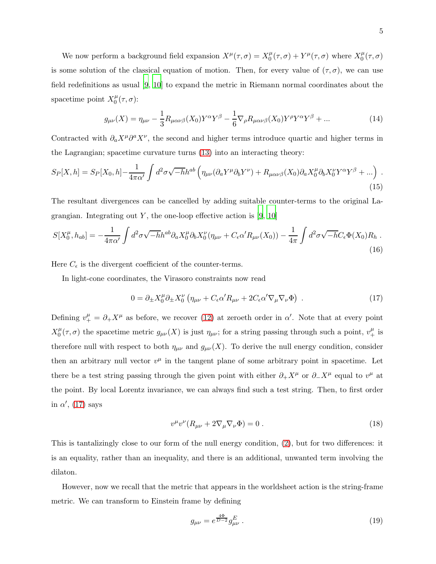We now perform a background field expansion  $X^{\mu}(\tau,\sigma) = X_0^{\mu}$  $\chi_0^{\mu}(\tau,\sigma) + Y^{\mu}(\tau,\sigma)$  where  $X_0^{\mu}$  $\int_0^\mu (\tau ,\sigma )$ is some solution of the classical equation of motion. Then, for every value of  $(\tau, \sigma)$ , we can use field redefinitions as usual [\[9](#page-8-7), [10](#page-9-0)] to expand the metric in Riemann normal coordinates about the spacetime point  $X_0^{\mu}$  $\int_0^\mu (\tau,\sigma)$ :

$$
g_{\mu\nu}(X) = \eta_{\mu\nu} - \frac{1}{3}R_{\mu\alpha\nu\beta}(X_0)Y^{\alpha}Y^{\beta} - \frac{1}{6}\nabla_{\rho}R_{\mu\alpha\nu\beta}(X_0)Y^{\rho}Y^{\alpha}Y^{\beta} + \dots
$$
 (14)

Contracted with  $\partial_a X^{\mu} \partial^a X^{\nu}$ , the second and higher terms introduce quartic and higher terms in the Lagrangian; spacetime curvature turns [\(13\)](#page-3-0) into an interacting theory:

$$
S_P[X,h] = S_P[X_0,h] - \frac{1}{4\pi\alpha'} \int d^2\sigma \sqrt{-h}h^{ab} \left(\eta_{\mu\nu}(\partial_a Y^\mu \partial_b Y^\nu) + R_{\mu\alpha\nu\beta}(X_0)\partial_a X_0^\mu \partial_b X_0^\nu Y^\alpha Y^\beta + ...\right) \tag{15}
$$

The resultant divergences can be cancelled by adding suitable counter-terms to the original Lagrangian. Integrating out Y, the one-loop effective action is  $[9, 10]$  $[9, 10]$ 

$$
S[X_0^{\mu}, h_{ab}] = -\frac{1}{4\pi\alpha'} \int d^2\sigma \sqrt{-h} h^{ab} \partial_a X_0^{\mu} \partial_b X_0^{\nu} (\eta_{\mu\nu} + C_{\epsilon}\alpha' R_{\mu\nu}(X_0)) - \frac{1}{4\pi} \int d^2\sigma \sqrt{-h} C_{\epsilon} \Phi(X_0) R_h \tag{16}
$$

Here  $C_{\epsilon}$  is the divergent coefficient of the counter-terms.

In light-cone coordinates, the Virasoro constraints now read

<span id="page-4-0"></span>
$$
0 = \partial_{\pm} X_0^{\mu} \partial_{\pm} X_0^{\nu} \left( \eta_{\mu\nu} + C_{\epsilon} \alpha' R_{\mu\nu} + 2C_{\epsilon} \alpha' \nabla_{\mu} \nabla_{\nu} \Phi \right) . \tag{17}
$$

Defining  $v^{\mu}_{+} = \partial_{+} X^{\mu}$  as before, we recover [\(12\)](#page-3-1) at zeroeth order in  $\alpha'$ . Note that at every point  $X_0^{\mu}$  $\eta_0^{\mu}(\tau,\sigma)$  the spacetime metric  $g_{\mu\nu}(X)$  is just  $\eta_{\mu\nu}$ ; for a string passing through such a point,  $v_+^{\mu}$  is therefore null with respect to both  $\eta_{\mu\nu}$  and  $g_{\mu\nu}(X)$ . To derive the null energy condition, consider then an arbitrary null vector  $v^{\mu}$  in the tangent plane of some arbitrary point in spacetime. Let there be a test string passing through the given point with either  $\partial_+ X^{\mu}$  or  $\partial_- X^{\mu}$  equal to  $v^{\mu}$  at the point. By local Lorentz invariance, we can always find such a test string. Then, to first order in  $\alpha'$ , [\(17\)](#page-4-0) says

$$
v^{\mu}v^{\nu}(R_{\mu\nu} + 2\nabla_{\mu}\nabla_{\nu}\Phi) = 0.
$$
\n(18)

This is tantalizingly close to our form of the null energy condition, [\(2\)](#page-1-0), but for two differences: it is an equality, rather than an inequality, and there is an additional, unwanted term involving the dilaton.

However, now we recall that the metric that appears in the worldsheet action is the string-frame metric. We can transform to Einstein frame by defining

$$
g_{\mu\nu} = e^{\frac{4\Phi}{D-2}} g_{\mu\nu}^E \,. \tag{19}
$$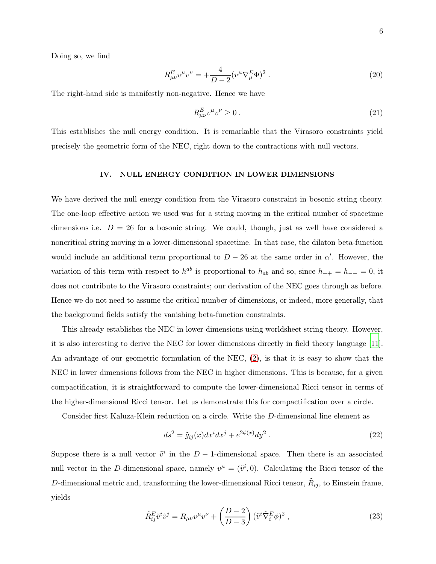Doing so, we find

$$
R_{\mu\nu}^{E}v^{\mu}v^{\nu} = +\frac{4}{D-2}(v^{\mu}\nabla_{\mu}^{E}\Phi)^{2}.
$$
 (20)

The right-hand side is manifestly non-negative. Hence we have

$$
R_{\mu\nu}^E v^\mu v^\nu \ge 0 \tag{21}
$$

This establishes the null energy condition. It is remarkable that the Virasoro constraints yield precisely the geometric form of the NEC, right down to the contractions with null vectors.

### IV. NULL ENERGY CONDITION IN LOWER DIMENSIONS

We have derived the null energy condition from the Virasoro constraint in bosonic string theory. The one-loop effective action we used was for a string moving in the critical number of spacetime dimensions i.e.  $D = 26$  for a bosonic string. We could, though, just as well have considered a noncritical string moving in a lower-dimensional spacetime. In that case, the dilaton beta-function would include an additional term proportional to  $D-26$  at the same order in  $\alpha'$ . However, the variation of this term with respect to  $h^{ab}$  is proportional to  $h_{ab}$  and so, since  $h_{++} = h_{--} = 0$ , it does not contribute to the Virasoro constraints; our derivation of the NEC goes through as before. Hence we do not need to assume the critical number of dimensions, or indeed, more generally, that the background fields satisfy the vanishing beta-function constraints.

This already establishes the NEC in lower dimensions using worldsheet string theory. However, it is also interesting to derive the NEC for lower dimensions directly in field theory language [\[11](#page-9-1)]. An advantage of our geometric formulation of the NEC, [\(2\)](#page-1-0), is that it is easy to show that the NEC in lower dimensions follows from the NEC in higher dimensions. This is because, for a given compactification, it is straightforward to compute the lower-dimensional Ricci tensor in terms of the higher-dimensional Ricci tensor. Let us demonstrate this for compactification over a circle.

Consider first Kaluza-Klein reduction on a circle. Write the D-dimensional line element as

$$
ds^{2} = \tilde{g}_{ij}(x)dx^{i}dx^{j} + e^{2\phi(x)}dy^{2}.
$$
 (22)

Suppose there is a null vector  $\tilde{v}^i$  in the  $D-1$ -dimensional space. Then there is an associated null vector in the D-dimensional space, namely  $v^{\mu} = (\tilde{v}^i, 0)$ . Calculating the Ricci tensor of the D-dimensional metric and, transforming the lower-dimensional Ricci tensor,  $\tilde{R}_{ij}$ , to Einstein frame, yields

$$
\tilde{R}_{ij}^E \tilde{v}^i \tilde{v}^j = R_{\mu\nu} v^\mu v^\nu + \left(\frac{D-2}{D-3}\right) (\tilde{v}^i \tilde{\nabla}_i^E \phi)^2 ,\qquad (23)
$$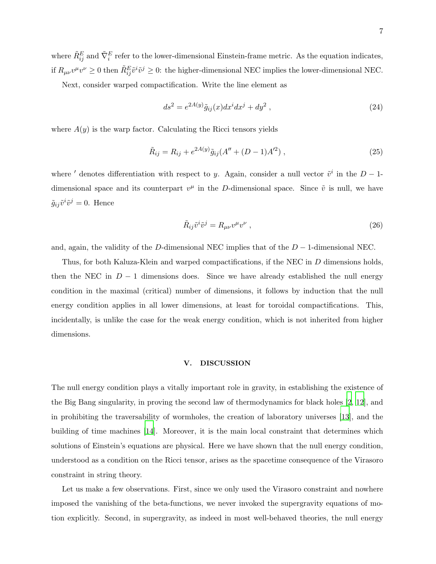where  $\tilde{R}_{ij}^E$  and  $\tilde{\nabla}_i^E$  refer to the lower-dimensional Einstein-frame metric. As the equation indicates, if  $R_{\mu\nu}v^{\mu}v^{\nu} \ge 0$  then  $\tilde{R}_{ij}^{E}\tilde{v}^{i}\tilde{v}^{j} \ge 0$ : the higher-dimensional NEC implies the lower-dimensional NEC.

Next, consider warped compactification. Write the line element as

$$
ds^{2} = e^{2A(y)}\tilde{g}_{ij}(x)dx^{i}dx^{j} + dy^{2} , \qquad (24)
$$

where  $A(y)$  is the warp factor. Calculating the Ricci tensors yields

$$
\tilde{R}_{ij} = R_{ij} + e^{2A(y)} \tilde{g}_{ij} (A'' + (D - 1)A'^2) , \qquad (25)
$$

where ' denotes differentiation with respect to y. Again, consider a null vector  $\tilde{v}^i$  in the  $D-1$ dimensional space and its counterpart  $v^{\mu}$  in the D-dimensional space. Since  $\tilde{v}$  is null, we have  $\tilde{g}_{ij}\tilde{v}^i\tilde{v}^j=0$ . Hence

$$
\tilde{R}_{ij}\tilde{v}^i\tilde{v}^j = R_{\mu\nu}v^{\mu}v^{\nu} \;, \tag{26}
$$

and, again, the validity of the D-dimensional NEC implies that of the  $D-1$ -dimensional NEC.

Thus, for both Kaluza-Klein and warped compactifications, if the NEC in D dimensions holds, then the NEC in  $D-1$  dimensions does. Since we have already established the null energy condition in the maximal (critical) number of dimensions, it follows by induction that the null energy condition applies in all lower dimensions, at least for toroidal compactifications. This, incidentally, is unlike the case for the weak energy condition, which is not inherited from higher dimensions.

### V. DISCUSSION

The null energy condition plays a vitally important role in gravity, in establishing the existence of the Big Bang singularity, in proving the second law of thermodynamics for black holes [\[2,](#page-8-1) [12](#page-9-2)], and in prohibiting the traversability of wormholes, the creation of laboratory universes [\[13](#page-9-3)], and the building of time machines [\[14\]](#page-9-4). Moreover, it is the main local constraint that determines which solutions of Einstein's equations are physical. Here we have shown that the null energy condition, understood as a condition on the Ricci tensor, arises as the spacetime consequence of the Virasoro constraint in string theory.

Let us make a few observations. First, since we only used the Virasoro constraint and nowhere imposed the vanishing of the beta-functions, we never invoked the supergravity equations of motion explicitly. Second, in supergravity, as indeed in most well-behaved theories, the null energy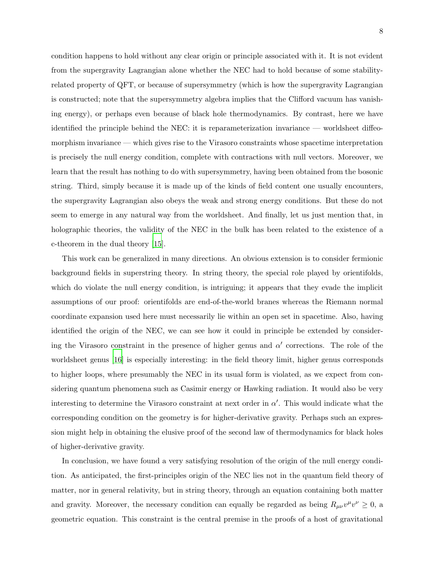condition happens to hold without any clear origin or principle associated with it. It is not evident from the supergravity Lagrangian alone whether the NEC had to hold because of some stabilityrelated property of QFT, or because of supersymmetry (which is how the supergravity Lagrangian is constructed; note that the supersymmetry algebra implies that the Clifford vacuum has vanishing energy), or perhaps even because of black hole thermodynamics. By contrast, here we have identified the principle behind the NEC: it is reparameterization invariance — worldsheet diffeomorphism invariance — which gives rise to the Virasoro constraints whose spacetime interpretation is precisely the null energy condition, complete with contractions with null vectors. Moreover, we learn that the result has nothing to do with supersymmetry, having been obtained from the bosonic string. Third, simply because it is made up of the kinds of field content one usually encounters, the supergravity Lagrangian also obeys the weak and strong energy conditions. But these do not seem to emerge in any natural way from the worldsheet. And finally, let us just mention that, in holographic theories, the validity of the NEC in the bulk has been related to the existence of a c-theorem in the dual theory [\[15\]](#page-9-5).

This work can be generalized in many directions. An obvious extension is to consider fermionic background fields in superstring theory. In string theory, the special role played by orientifolds, which do violate the null energy condition, is intriguing; it appears that they evade the implicit assumptions of our proof: orientifolds are end-of-the-world branes whereas the Riemann normal coordinate expansion used here must necessarily lie within an open set in spacetime. Also, having identified the origin of the NEC, we can see how it could in principle be extended by considering the Virasoro constraint in the presence of higher genus and  $\alpha'$  corrections. The role of the worldsheet genus [\[16](#page-9-6)] is especially interesting: in the field theory limit, higher genus corresponds to higher loops, where presumably the NEC in its usual form is violated, as we expect from considering quantum phenomena such as Casimir energy or Hawking radiation. It would also be very interesting to determine the Virasoro constraint at next order in  $\alpha'$ . This would indicate what the corresponding condition on the geometry is for higher-derivative gravity. Perhaps such an expression might help in obtaining the elusive proof of the second law of thermodynamics for black holes of higher-derivative gravity.

In conclusion, we have found a very satisfying resolution of the origin of the null energy condition. As anticipated, the first-principles origin of the NEC lies not in the quantum field theory of matter, nor in general relativity, but in string theory, through an equation containing both matter and gravity. Moreover, the necessary condition can equally be regarded as being  $R_{\mu\nu}v^{\mu}v^{\nu} \geq 0$ , a geometric equation. This constraint is the central premise in the proofs of a host of gravitational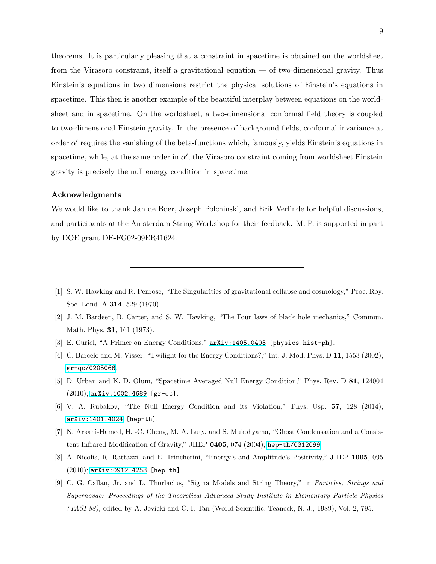theorems. It is particularly pleasing that a constraint in spacetime is obtained on the worldsheet from the Virasoro constraint, itself a gravitational equation — of two-dimensional gravity. Thus Einstein's equations in two dimensions restrict the physical solutions of Einstein's equations in spacetime. This then is another example of the beautiful interplay between equations on the worldsheet and in spacetime. On the worldsheet, a two-dimensional conformal field theory is coupled to two-dimensional Einstein gravity. In the presence of background fields, conformal invariance at order  $\alpha'$  requires the vanishing of the beta-functions which, famously, yields Einstein's equations in spacetime, while, at the same order in  $\alpha'$ , the Virasoro constraint coming from worldsheet Einstein gravity is precisely the null energy condition in spacetime.

## Acknowledgments

We would like to thank Jan de Boer, Joseph Polchinski, and Erik Verlinde for helpful discussions, and participants at the Amsterdam String Workshop for their feedback. M. P. is supported in part by DOE grant DE-FG02-09ER41624.

- <span id="page-8-1"></span>[2] J. M. Bardeen, B. Carter, and S. W. Hawking, "The Four laws of black hole mechanics," Commun. Math. Phys. 31, 161 (1973).
- <span id="page-8-2"></span>[3] E. Curiel, "A Primer on Energy Conditions," [arXiv:1405.0403](http://arxiv.org/abs/1405.0403) [physics.hist-ph].
- <span id="page-8-3"></span>[4] C. Barcelo and M. Visser, "Twilight for the Energy Conditions?," Int. J. Mod. Phys. D 11, 1553 (2002); [gr-qc/0205066](http://arxiv.org/abs/gr-qc/0205066).
- [5] D. Urban and K. D. Olum, "Spacetime Averaged Null Energy Condition," Phys. Rev. D 81, 124004 (2010); [arXiv:1002.4689](http://arxiv.org/abs/1002.4689) [gr-qc].
- <span id="page-8-4"></span>[6] V. A. Rubakov, "The Null Energy Condition and its Violation," Phys. Usp. 57, 128 (2014); [arXiv:1401.4024](http://arxiv.org/abs/1401.4024) [hep-th].
- <span id="page-8-5"></span>[7] N. Arkani-Hamed, H. -C. Cheng, M. A. Luty, and S. Mukohyama, "Ghost Condensation and a Consistent Infrared Modification of Gravity," JHEP 0405, 074 (2004); [hep-th/0312099](http://arxiv.org/abs/hep-th/0312099).
- <span id="page-8-6"></span>[8] A. Nicolis, R. Rattazzi, and E. Trincherini, "Energy's and Amplitude's Positivity," JHEP 1005, 095 (2010); [arXiv:0912.4258](http://arxiv.org/abs/0912.4258) [hep-th].
- <span id="page-8-7"></span>[9] C. G. Callan, Jr. and L. Thorlacius, "Sigma Models and String Theory," in Particles, Strings and Supernovae: Proceedings of the Theoretical Advanced Study Institute in Elementary Particle Physics (TASI 88), edited by A. Jevicki and C. I. Tan (World Scientific, Teaneck, N. J., 1989), Vol. 2, 795.

<span id="page-8-0"></span><sup>[1]</sup> S. W. Hawking and R. Penrose, "The Singularities of gravitational collapse and cosmology," Proc. Roy. Soc. Lond. A 314, 529 (1970).